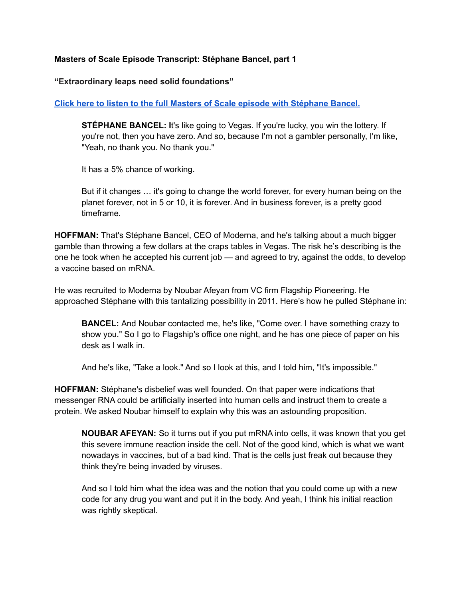### **Masters of Scale Episode Transcript: Stéphane Bancel, part 1**

### **"Extraordinary leaps need solid foundations"**

## **Click here to listen to the full Masters of Scale episode with [Stéphane](https://listen.mastersofscale.com/StephaneBancelPDF) Bancel.**

**STÉPHANE BANCEL: I**t's like going to Vegas. If you're lucky, you win the lottery. If you're not, then you have zero. And so, because I'm not a gambler personally, I'm like, "Yeah, no thank you. No thank you."

It has a 5% chance of working.

But if it changes … it's going to change the world forever, for every human being on the planet forever, not in 5 or 10, it is forever. And in business forever, is a pretty good timeframe.

**HOFFMAN:** That's Stéphane Bancel, CEO of Moderna, and he's talking about a much bigger gamble than throwing a few dollars at the craps tables in Vegas. The risk he's describing is the one he took when he accepted his current job — and agreed to try, against the odds, to develop a vaccine based on mRNA.

He was recruited to Moderna by Noubar Afeyan from VC firm Flagship Pioneering. He approached Stéphane with this tantalizing possibility in 2011. Here's how he pulled Stéphane in:

**BANCEL:** And Noubar contacted me, he's like, "Come over. I have something crazy to show you." So I go to Flagship's office one night, and he has one piece of paper on his desk as I walk in.

And he's like, "Take a look." And so I look at this, and I told him, "It's impossible."

**HOFFMAN:** Stéphane's disbelief was well founded. On that paper were indications that messenger RNA could be artificially inserted into human cells and instruct them to create a protein. We asked Noubar himself to explain why this was an astounding proposition.

**NOUBAR AFEYAN:** So it turns out if you put mRNA into cells, it was known that you get this severe immune reaction inside the cell. Not of the good kind, which is what we want nowadays in vaccines, but of a bad kind. That is the cells just freak out because they think they're being invaded by viruses.

And so I told him what the idea was and the notion that you could come up with a new code for any drug you want and put it in the body. And yeah, I think his initial reaction was rightly skeptical.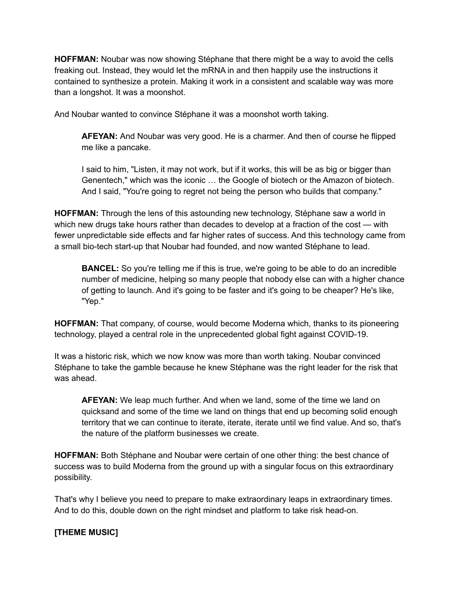**HOFFMAN:** Noubar was now showing Stéphane that there might be a way to avoid the cells freaking out. Instead, they would let the mRNA in and then happily use the instructions it contained to synthesize a protein. Making it work in a consistent and scalable way was more than a longshot. It was a moonshot.

And Noubar wanted to convince Stéphane it was a moonshot worth taking.

**AFEYAN:** And Noubar was very good. He is a charmer. And then of course he flipped me like a pancake.

I said to him, "Listen, it may not work, but if it works, this will be as big or bigger than Genentech," which was the iconic … the Google of biotech or the Amazon of biotech. And I said, "You're going to regret not being the person who builds that company."

**HOFFMAN:** Through the lens of this astounding new technology, Stéphane saw a world in which new drugs take hours rather than decades to develop at a fraction of the cost — with fewer unpredictable side effects and far higher rates of success. And this technology came from a small bio-tech start-up that Noubar had founded, and now wanted Stéphane to lead.

**BANCEL:** So you're telling me if this is true, we're going to be able to do an incredible number of medicine, helping so many people that nobody else can with a higher chance of getting to launch. And it's going to be faster and it's going to be cheaper? He's like, "Yep."

**HOFFMAN:** That company, of course, would become Moderna which, thanks to its pioneering technology, played a central role in the unprecedented global fight against COVID-19.

It was a historic risk, which we now know was more than worth taking. Noubar convinced Stéphane to take the gamble because he knew Stéphane was the right leader for the risk that was ahead.

**AFEYAN:** We leap much further. And when we land, some of the time we land on quicksand and some of the time we land on things that end up becoming solid enough territory that we can continue to iterate, iterate, iterate until we find value. And so, that's the nature of the platform businesses we create.

**HOFFMAN:** Both Stéphane and Noubar were certain of one other thing: the best chance of success was to build Moderna from the ground up with a singular focus on this extraordinary possibility.

That's why I believe you need to prepare to make extraordinary leaps in extraordinary times. And to do this, double down on the right mindset and platform to take risk head-on.

# **[THEME MUSIC]**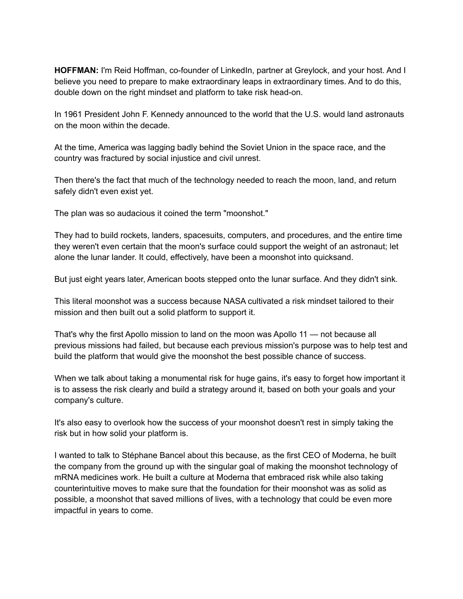HOFFMAN: I'm Reid Hoffman, co-founder of LinkedIn, partner at Greylock, and your host. And I believe you need to prepare to make extraordinary leaps in extraordinary times. And to do this, double down on the right mindset and platform to take risk head-on.

In 1961 President John F. Kennedy announced to the world that the U.S. would land astronauts on the moon within the decade.

At the time, America was lagging badly behind the Soviet Union in the space race, and the country was fractured by social injustice and civil unrest.

Then there's the fact that much of the technology needed to reach the moon, land, and return safely didn't even exist yet.

The plan was so audacious it coined the term "moonshot."

They had to build rockets, landers, spacesuits, computers, and procedures, and the entire time they weren't even certain that the moon's surface could support the weight of an astronaut; let alone the lunar lander. It could, effectively, have been a moonshot into quicksand.

But just eight years later, American boots stepped onto the lunar surface. And they didn't sink.

This literal moonshot was a success because NASA cultivated a risk mindset tailored to their mission and then built out a solid platform to support it.

That's why the first Apollo mission to land on the moon was Apollo 11 — not because all previous missions had failed, but because each previous mission's purpose was to help test and build the platform that would give the moonshot the best possible chance of success.

When we talk about taking a monumental risk for huge gains, it's easy to forget how important it is to assess the risk clearly and build a strategy around it, based on both your goals and your company's culture.

It's also easy to overlook how the success of your moonshot doesn't rest in simply taking the risk but in how solid your platform is.

I wanted to talk to Stéphane Bancel about this because, as the first CEO of Moderna, he built the company from the ground up with the singular goal of making the moonshot technology of mRNA medicines work. He built a culture at Moderna that embraced risk while also taking counterintuitive moves to make sure that the foundation for their moonshot was as solid as possible, a moonshot that saved millions of lives, with a technology that could be even more impactful in years to come.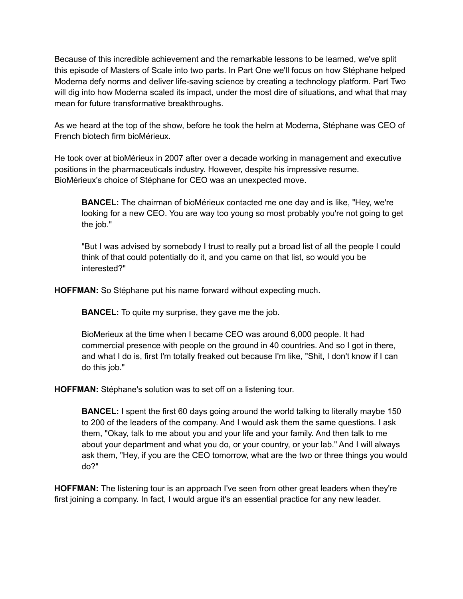Because of this incredible achievement and the remarkable lessons to be learned, we've split this episode of Masters of Scale into two parts. In Part One we'll focus on how Stéphane helped Moderna defy norms and deliver life-saving science by creating a technology platform. Part Two will dig into how Moderna scaled its impact, under the most dire of situations, and what that may mean for future transformative breakthroughs.

As we heard at the top of the show, before he took the helm at Moderna, Stéphane was CEO of French biotech firm bioMérieux.

He took over at bioMérieux in 2007 after over a decade working in management and executive positions in the pharmaceuticals industry. However, despite his impressive resume. BioMérieux's choice of Stéphane for CEO was an unexpected move.

**BANCEL:** The chairman of bioMérieux contacted me one day and is like, "Hey, we're looking for a new CEO. You are way too young so most probably you're not going to get the job."

"But I was advised by somebody I trust to really put a broad list of all the people I could think of that could potentially do it, and you came on that list, so would you be interested?"

**HOFFMAN:** So Stéphane put his name forward without expecting much.

**BANCEL:** To quite my surprise, they gave me the job.

BioMerieux at the time when I became CEO was around 6,000 people. It had commercial presence with people on the ground in 40 countries. And so I got in there, and what I do is, first I'm totally freaked out because I'm like, "Shit, I don't know if I can do this job."

**HOFFMAN:** Stéphane's solution was to set off on a listening tour.

**BANCEL:** I spent the first 60 days going around the world talking to literally maybe 150 to 200 of the leaders of the company. And I would ask them the same questions. I ask them, "Okay, talk to me about you and your life and your family. And then talk to me about your department and what you do, or your country, or your lab." And I will always ask them, "Hey, if you are the CEO tomorrow, what are the two or three things you would do?"

**HOFFMAN:** The listening tour is an approach I've seen from other great leaders when they're first joining a company. In fact, I would argue it's an essential practice for any new leader.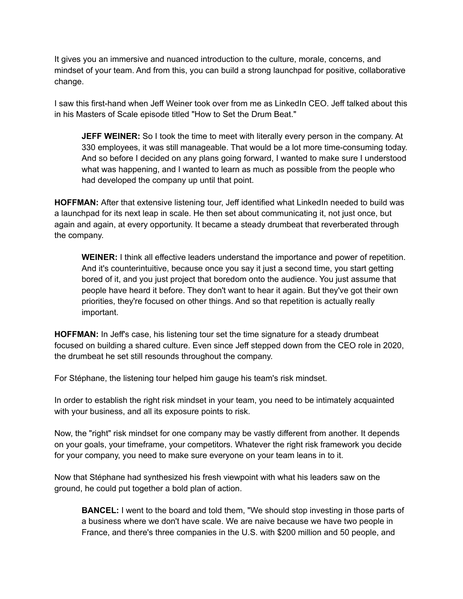It gives you an immersive and nuanced introduction to the culture, morale, concerns, and mindset of your team. And from this, you can build a strong launchpad for positive, collaborative change.

I saw this first-hand when Jeff Weiner took over from me as LinkedIn CEO. Jeff talked about this in his Masters of Scale episode titled "How to Set the Drum Beat."

**JEFF WEINER:** So I took the time to meet with literally every person in the company. At 330 employees, it was still manageable. That would be a lot more time-consuming today. And so before I decided on any plans going forward, I wanted to make sure I understood what was happening, and I wanted to learn as much as possible from the people who had developed the company up until that point.

**HOFFMAN:** After that extensive listening tour, Jeff identified what LinkedIn needed to build was a launchpad for its next leap in scale. He then set about communicating it, not just once, but again and again, at every opportunity. It became a steady drumbeat that reverberated through the company.

**WEINER:** I think all effective leaders understand the importance and power of repetition. And it's counterintuitive, because once you say it just a second time, you start getting bored of it, and you just project that boredom onto the audience. You just assume that people have heard it before. They don't want to hear it again. But they've got their own priorities, they're focused on other things. And so that repetition is actually really important.

**HOFFMAN:** In Jeff's case, his listening tour set the time signature for a steady drumbeat focused on building a shared culture. Even since Jeff stepped down from the CEO role in 2020, the drumbeat he set still resounds throughout the company.

For Stéphane, the listening tour helped him gauge his team's risk mindset.

In order to establish the right risk mindset in your team, you need to be intimately acquainted with your business, and all its exposure points to risk.

Now, the "right" risk mindset for one company may be vastly different from another. It depends on your goals, your timeframe, your competitors. Whatever the right risk framework you decide for your company, you need to make sure everyone on your team leans in to it.

Now that Stéphane had synthesized his fresh viewpoint with what his leaders saw on the ground, he could put together a bold plan of action.

**BANCEL:** I went to the board and told them, "We should stop investing in those parts of a business where we don't have scale. We are naive because we have two people in France, and there's three companies in the U.S. with \$200 million and 50 people, and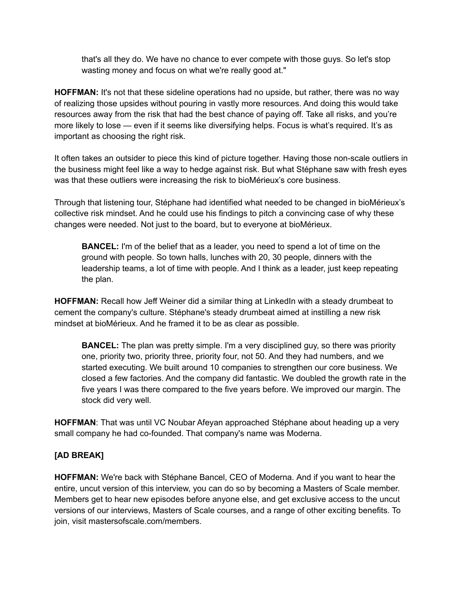that's all they do. We have no chance to ever compete with those guys. So let's stop wasting money and focus on what we're really good at."

**HOFFMAN:** It's not that these sideline operations had no upside, but rather, there was no way of realizing those upsides without pouring in vastly more resources. And doing this would take resources away from the risk that had the best chance of paying off. Take all risks, and you're more likely to lose — even if it seems like diversifying helps. Focus is what's required. It's as important as choosing the right risk.

It often takes an outsider to piece this kind of picture together. Having those non-scale outliers in the business might feel like a way to hedge against risk. But what Stéphane saw with fresh eyes was that these outliers were increasing the risk to bioMérieux's core business.

Through that listening tour, Stéphane had identified what needed to be changed in bioMérieux's collective risk mindset. And he could use his findings to pitch a convincing case of why these changes were needed. Not just to the board, but to everyone at bioMérieux.

**BANCEL:** I'm of the belief that as a leader, you need to spend a lot of time on the ground with people. So town halls, lunches with 20, 30 people, dinners with the leadership teams, a lot of time with people. And I think as a leader, just keep repeating the plan.

**HOFFMAN:** Recall how Jeff Weiner did a similar thing at LinkedIn with a steady drumbeat to cement the company's culture. Stéphane's steady drumbeat aimed at instilling a new risk mindset at bioMérieux. And he framed it to be as clear as possible.

**BANCEL:** The plan was pretty simple. I'm a very disciplined guy, so there was priority one, priority two, priority three, priority four, not 50. And they had numbers, and we started executing. We built around 10 companies to strengthen our core business. We closed a few factories. And the company did fantastic. We doubled the growth rate in the five years I was there compared to the five years before. We improved our margin. The stock did very well.

**HOFFMAN**: That was until VC Noubar Afeyan approached Stéphane about heading up a very small company he had co-founded. That company's name was Moderna.

## **[AD BREAK]**

**HOFFMAN:** We're back with Stéphane Bancel, CEO of Moderna. And if you want to hear the entire, uncut version of this interview, you can do so by becoming a Masters of Scale member. Members get to hear new episodes before anyone else, and get exclusive access to the uncut versions of our interviews, Masters of Scale courses, and a range of other exciting benefits. To join, visit mastersofscale.com/members.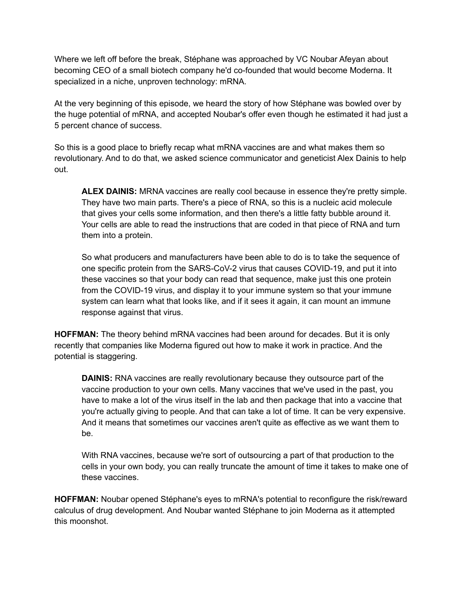Where we left off before the break, Stéphane was approached by VC Noubar Afeyan about becoming CEO of a small biotech company he'd co-founded that would become Moderna. It specialized in a niche, unproven technology: mRNA.

At the very beginning of this episode, we heard the story of how Stéphane was bowled over by the huge potential of mRNA, and accepted Noubar's offer even though he estimated it had just a 5 percent chance of success.

So this is a good place to briefly recap what mRNA vaccines are and what makes them so revolutionary. And to do that, we asked science communicator and geneticist Alex Dainis to help out.

**ALEX DAINIS:** MRNA vaccines are really cool because in essence they're pretty simple. They have two main parts. There's a piece of RNA, so this is a nucleic acid molecule that gives your cells some information, and then there's a little fatty bubble around it. Your cells are able to read the instructions that are coded in that piece of RNA and turn them into a protein.

So what producers and manufacturers have been able to do is to take the sequence of one specific protein from the SARS-CoV-2 virus that causes COVID-19, and put it into these vaccines so that your body can read that sequence, make just this one protein from the COVID-19 virus, and display it to your immune system so that your immune system can learn what that looks like, and if it sees it again, it can mount an immune response against that virus.

**HOFFMAN:** The theory behind mRNA vaccines had been around for decades. But it is only recently that companies like Moderna figured out how to make it work in practice. And the potential is staggering.

**DAINIS:** RNA vaccines are really revolutionary because they outsource part of the vaccine production to your own cells. Many vaccines that we've used in the past, you have to make a lot of the virus itself in the lab and then package that into a vaccine that you're actually giving to people. And that can take a lot of time. It can be very expensive. And it means that sometimes our vaccines aren't quite as effective as we want them to be.

With RNA vaccines, because we're sort of outsourcing a part of that production to the cells in your own body, you can really truncate the amount of time it takes to make one of these vaccines.

**HOFFMAN:** Noubar opened Stéphane's eyes to mRNA's potential to reconfigure the risk/reward calculus of drug development. And Noubar wanted Stéphane to join Moderna as it attempted this moonshot.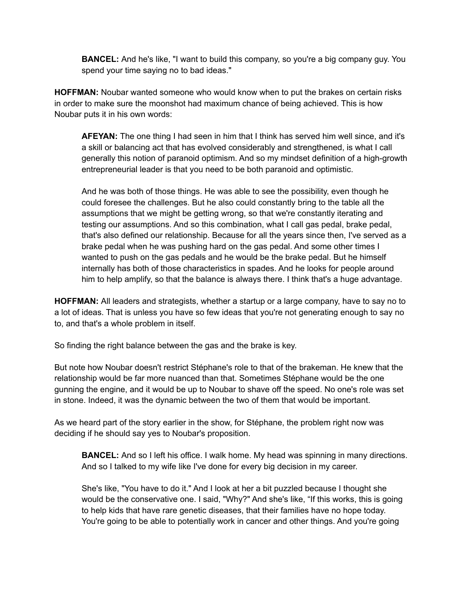**BANCEL:** And he's like, "I want to build this company, so you're a big company guy. You spend your time saying no to bad ideas."

**HOFFMAN:** Noubar wanted someone who would know when to put the brakes on certain risks in order to make sure the moonshot had maximum chance of being achieved. This is how Noubar puts it in his own words:

**AFEYAN:** The one thing I had seen in him that I think has served him well since, and it's a skill or balancing act that has evolved considerably and strengthened, is what I call generally this notion of paranoid optimism. And so my mindset definition of a high-growth entrepreneurial leader is that you need to be both paranoid and optimistic.

And he was both of those things. He was able to see the possibility, even though he could foresee the challenges. But he also could constantly bring to the table all the assumptions that we might be getting wrong, so that we're constantly iterating and testing our assumptions. And so this combination, what I call gas pedal, brake pedal, that's also defined our relationship. Because for all the years since then, I've served as a brake pedal when he was pushing hard on the gas pedal. And some other times I wanted to push on the gas pedals and he would be the brake pedal. But he himself internally has both of those characteristics in spades. And he looks for people around him to help amplify, so that the balance is always there. I think that's a huge advantage.

**HOFFMAN:** All leaders and strategists, whether a startup or a large company, have to say no to a lot of ideas. That is unless you have so few ideas that you're not generating enough to say no to, and that's a whole problem in itself.

So finding the right balance between the gas and the brake is key.

But note how Noubar doesn't restrict Stéphane's role to that of the brakeman. He knew that the relationship would be far more nuanced than that. Sometimes Stéphane would be the one gunning the engine, and it would be up to Noubar to shave off the speed. No one's role was set in stone. Indeed, it was the dynamic between the two of them that would be important.

As we heard part of the story earlier in the show, for Stéphane, the problem right now was deciding if he should say yes to Noubar's proposition.

**BANCEL:** And so I left his office. I walk home. My head was spinning in many directions. And so I talked to my wife like I've done for every big decision in my career.

She's like, "You have to do it." And I look at her a bit puzzled because I thought she would be the conservative one. I said, "Why?" And she's like, "If this works, this is going to help kids that have rare genetic diseases, that their families have no hope today. You're going to be able to potentially work in cancer and other things. And you're going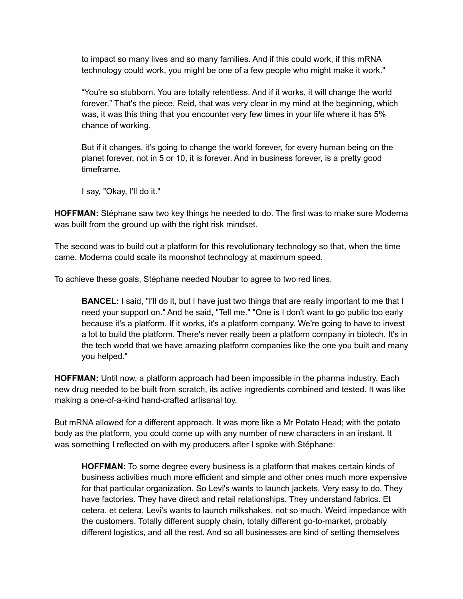to impact so many lives and so many families. And if this could work, if this mRNA technology could work, you might be one of a few people who might make it work."

"You're so stubborn. You are totally relentless. And if it works, it will change the world forever." That's the piece, Reid, that was very clear in my mind at the beginning, which was, it was this thing that you encounter very few times in your life where it has 5% chance of working.

But if it changes, it's going to change the world forever, for every human being on the planet forever, not in 5 or 10, it is forever. And in business forever, is a pretty good timeframe.

I say, "Okay, I'll do it."

**HOFFMAN:** Stéphane saw two key things he needed to do. The first was to make sure Moderna was built from the ground up with the right risk mindset.

The second was to build out a platform for this revolutionary technology so that, when the time came, Moderna could scale its moonshot technology at maximum speed.

To achieve these goals, Stéphane needed Noubar to agree to two red lines.

**BANCEL:** I said, "I'll do it, but I have just two things that are really important to me that I need your support on." And he said, "Tell me." "One is I don't want to go public too early because it's a platform. If it works, it's a platform company. We're going to have to invest a lot to build the platform. There's never really been a platform company in biotech. It's in the tech world that we have amazing platform companies like the one you built and many you helped."

**HOFFMAN:** Until now, a platform approach had been impossible in the pharma industry. Each new drug needed to be built from scratch, its active ingredients combined and tested. It was like making a one-of-a-kind hand-crafted artisanal toy.

But mRNA allowed for a different approach. It was more like a Mr Potato Head; with the potato body as the platform, you could come up with any number of new characters in an instant. It was something I reflected on with my producers after I spoke with Stéphane:

**HOFFMAN:** To some degree every business is a platform that makes certain kinds of business activities much more efficient and simple and other ones much more expensive for that particular organization. So Levi's wants to launch jackets. Very easy to do. They have factories. They have direct and retail relationships. They understand fabrics. Et cetera, et cetera. Levi's wants to launch milkshakes, not so much. Weird impedance with the customers. Totally different supply chain, totally different go-to-market, probably different logistics, and all the rest. And so all businesses are kind of setting themselves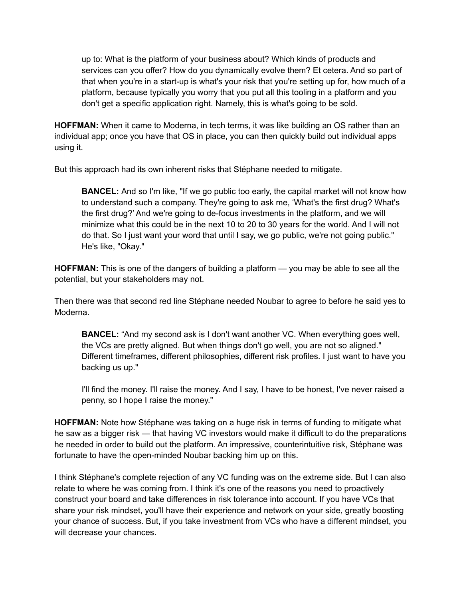up to: What is the platform of your business about? Which kinds of products and services can you offer? How do you dynamically evolve them? Et cetera. And so part of that when you're in a start-up is what's your risk that you're setting up for, how much of a platform, because typically you worry that you put all this tooling in a platform and you don't get a specific application right. Namely, this is what's going to be sold.

**HOFFMAN:** When it came to Moderna, in tech terms, it was like building an OS rather than an individual app; once you have that OS in place, you can then quickly build out individual apps using it.

But this approach had its own inherent risks that Stéphane needed to mitigate.

**BANCEL:** And so I'm like, "If we go public too early, the capital market will not know how to understand such a company. They're going to ask me, 'What's the first drug? What's the first drug?' And we're going to de-focus investments in the platform, and we will minimize what this could be in the next 10 to 20 to 30 years for the world. And I will not do that. So I just want your word that until I say, we go public, we're not going public." He's like, "Okay."

**HOFFMAN:** This is one of the dangers of building a platform — you may be able to see all the potential, but your stakeholders may not.

Then there was that second red line Stéphane needed Noubar to agree to before he said yes to Moderna.

**BANCEL:** "And my second ask is I don't want another VC. When everything goes well, the VCs are pretty aligned. But when things don't go well, you are not so aligned." Different timeframes, different philosophies, different risk profiles. I just want to have you backing us up."

I'll find the money. I'll raise the money. And I say, I have to be honest, I've never raised a penny, so I hope I raise the money."

**HOFFMAN:** Note how Stéphane was taking on a huge risk in terms of funding to mitigate what he saw as a bigger risk — that having VC investors would make it difficult to do the preparations he needed in order to build out the platform. An impressive, counterintuitive risk, Stéphane was fortunate to have the open-minded Noubar backing him up on this.

I think Stéphane's complete rejection of any VC funding was on the extreme side. But I can also relate to where he was coming from. I think it's one of the reasons you need to proactively construct your board and take differences in risk tolerance into account. If you have VCs that share your risk mindset, you'll have their experience and network on your side, greatly boosting your chance of success. But, if you take investment from VCs who have a different mindset, you will decrease your chances.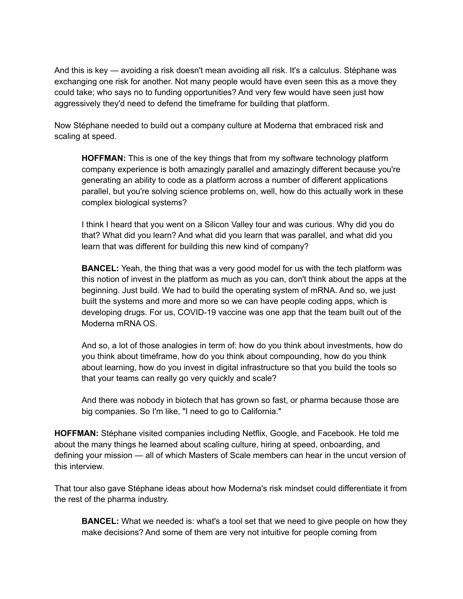And this is key — avoiding a risk doesn't mean avoiding all risk. It's a calculus. Stéphane was exchanging one risk for another. Not many people would have even seen this as a move they could take; who says no to funding opportunities? And very few would have seen just how aggressively they'd need to defend the timeframe for building that platform.

Now Stéphane needed to build out a company culture at Moderna that embraced risk and scaling at speed.

**HOFFMAN:** This is one of the key things that from my software technology platform company experience is both amazingly parallel and amazingly different because you're generating an ability to code as a platform across a number of different applications parallel, but you're solving science problems on, well, how do this actually work in these complex biological systems?

I think I heard that you went on a Silicon Valley tour and was curious. Why did you do that? What did you learn? And what did you learn that was parallel, and what did you learn that was different for building this new kind of company?

**BANCEL:** Yeah, the thing that was a very good model for us with the tech platform was this notion of invest in the platform as much as you can, don't think about the apps at the beginning. Just build. We had to build the operating system of mRNA. And so, we just built the systems and more and more so we can have people coding apps, which is developing drugs. For us, COVID-19 vaccine was one app that the team built out of the Moderna mRNA OS.

And so, a lot of those analogies in term of: how do you think about investments, how do you think about timeframe, how do you think about compounding, how do you think about learning, how do you invest in digital infrastructure so that you build the tools so that your teams can really go very quickly and scale?

And there was nobody in biotech that has grown so fast, or pharma because those are big companies. So I'm like, "I need to go to California."

**HOFFMAN:** Stéphane visited companies including Netflix, Google, and Facebook. He told me about the many things he learned about scaling culture, hiring at speed, onboarding, and defining your mission — all of which Masters of Scale members can hear in the uncut version of this interview.

That tour also gave Stéphane ideas about how Moderna's risk mindset could differentiate it from the rest of the pharma industry.

**BANCEL:** What we needed is: what's a tool set that we need to give people on how they make decisions? And some of them are very not intuitive for people coming from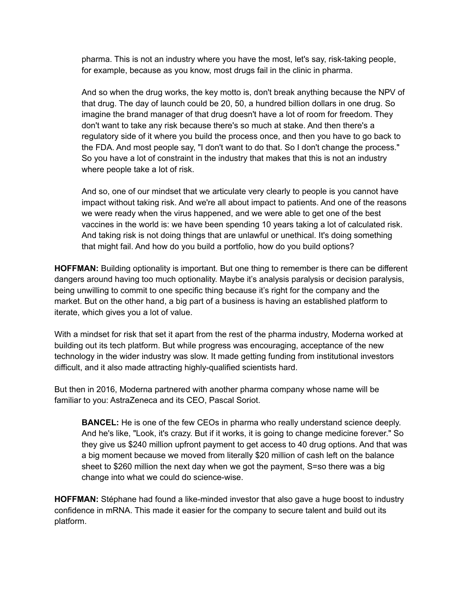pharma. This is not an industry where you have the most, let's say, risk-taking people, for example, because as you know, most drugs fail in the clinic in pharma.

And so when the drug works, the key motto is, don't break anything because the NPV of that drug. The day of launch could be 20, 50, a hundred billion dollars in one drug. So imagine the brand manager of that drug doesn't have a lot of room for freedom. They don't want to take any risk because there's so much at stake. And then there's a regulatory side of it where you build the process once, and then you have to go back to the FDA. And most people say, "I don't want to do that. So I don't change the process." So you have a lot of constraint in the industry that makes that this is not an industry where people take a lot of risk.

And so, one of our mindset that we articulate very clearly to people is you cannot have impact without taking risk. And we're all about impact to patients. And one of the reasons we were ready when the virus happened, and we were able to get one of the best vaccines in the world is: we have been spending 10 years taking a lot of calculated risk. And taking risk is not doing things that are unlawful or unethical. It's doing something that might fail. And how do you build a portfolio, how do you build options?

**HOFFMAN:** Building optionality is important. But one thing to remember is there can be different dangers around having too much optionality. Maybe it's analysis paralysis or decision paralysis, being unwilling to commit to one specific thing because it's right for the company and the market. But on the other hand, a big part of a business is having an established platform to iterate, which gives you a lot of value.

With a mindset for risk that set it apart from the rest of the pharma industry, Moderna worked at building out its tech platform. But while progress was encouraging, acceptance of the new technology in the wider industry was slow. It made getting funding from institutional investors difficult, and it also made attracting highly-qualified scientists hard.

But then in 2016, Moderna partnered with another pharma company whose name will be familiar to you: AstraZeneca and its CEO, Pascal Soriot.

**BANCEL:** He is one of the few CEOs in pharma who really understand science deeply. And he's like, "Look, it's crazy. But if it works, it is going to change medicine forever." So they give us \$240 million upfront payment to get access to 40 drug options. And that was a big moment because we moved from literally \$20 million of cash left on the balance sheet to \$260 million the next day when we got the payment, S=so there was a big change into what we could do science-wise.

**HOFFMAN:** Stéphane had found a like-minded investor that also gave a huge boost to industry confidence in mRNA. This made it easier for the company to secure talent and build out its platform.